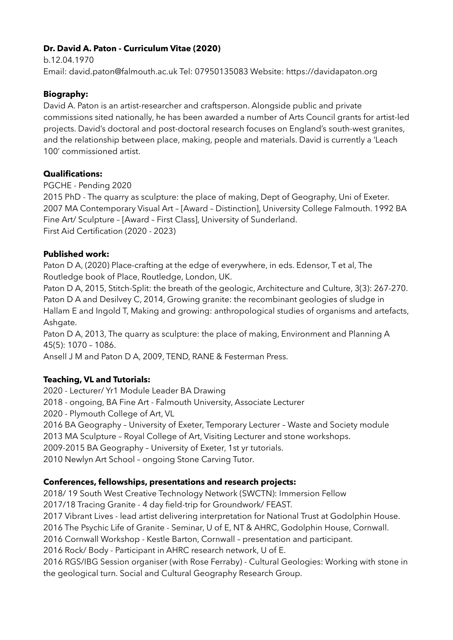## **Dr. David A. Paton - Curriculum Vitae (2020)**

b.12.04.1970 Email: david.paton@falmouth.ac.uk Tel: 07950135083 Website: https://davidapaton.org

## **Biography:**

David A. Paton is an artist-researcher and craftsperson. Alongside public and private commissions sited nationally, he has been awarded a number of Arts Council grants for artist-led projects. David's doctoral and post-doctoral research focuses on England's south-west granites, and the relationship between place, making, people and materials. David is currently a 'Leach 100' commissioned artist.

### **Qualifications:**

PGCHE - Pending 2020

2015 PhD - The quarry as sculpture: the place of making, Dept of Geography, Uni of Exeter. 2007 MA Contemporary Visual Art – [Award – Distinction], University College Falmouth. 1992 BA Fine Art/ Sculpture – [Award – First Class], University of Sunderland. First Aid Certification (2020 - 2023)

# **Published work:**

Paton D A, (2020) Place-crafting at the edge of everywhere, in eds. Edensor, T et al, The Routledge book of Place, Routledge, London, UK.

Paton D A, 2015, Stitch-Split: the breath of the geologic, Architecture and Culture, 3(3): 267-270. Paton D A and Desilvey C, 2014, Growing granite: the recombinant geologies of sludge in Hallam E and Ingold T, Making and growing: anthropological studies of organisms and artefacts, Ashgate.

Paton D A, 2013, The quarry as sculpture: the place of making, Environment and Planning A 45(5): 1070 – 1086.

Ansell J M and Paton D A, 2009, TEND, RANE & Festerman Press.

# **Teaching, VL and Tutorials:**

2020 - Lecturer/ Yr1 Module Leader BA Drawing 2018 - ongoing, BA Fine Art - Falmouth University, Associate Lecturer 2020 - Plymouth College of Art, VL 2016 BA Geography – University of Exeter, Temporary Lecturer – Waste and Society module 2013 MA Sculpture – Royal College of Art, Visiting Lecturer and stone workshops. 2009-2015 BA Geography – University of Exeter, 1st yr tutorials. 2010 Newlyn Art School – ongoing Stone Carving Tutor.

### **Conferences, fellowships, presentations and research projects:**

2018/ 19 South West Creative Technology Network (SWCTN): Immersion Fellow

2017/18 Tracing Granite - 4 day field-trip for Groundwork/ FEAST.

2017 Vibrant Lives - lead artist delivering interpretation for National Trust at Godolphin House.

2016 The Psychic Life of Granite - Seminar, U of E, NT & AHRC, Godolphin House, Cornwall.

2016 Cornwall Workshop - Kestle Barton, Cornwall – presentation and participant.

2016 Rock/ Body - Participant in AHRC research network, U of E.

2016 RGS/IBG Session organiser (with Rose Ferraby) - Cultural Geologies: Working with stone in the geological turn. Social and Cultural Geography Research Group.